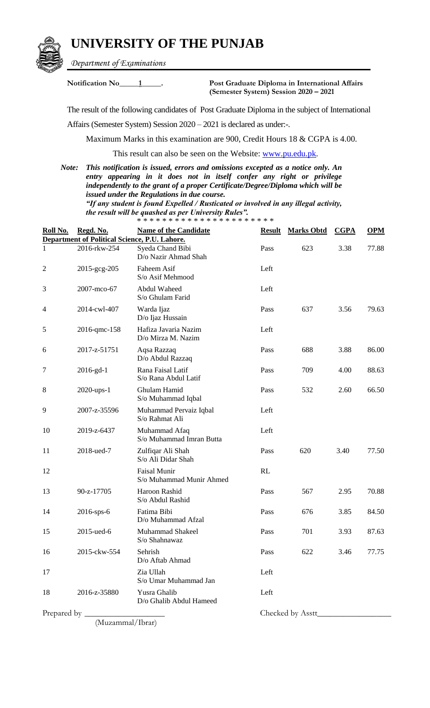## **UNIVERSITY OF THE PUNJAB**



*Department of Examinations*

**Notification No\_\_\_\_\_1\_\_\_\_\_. Post Graduate Diploma in International Affairs (Semester System) Session 2020 – 2021**

The result of the following candidates of Post Graduate Diploma in the subject of International

Affairs (Semester System) Session 2020 – 2021 is declared as under:-.

Maximum Marks in this examination are 900, Credit Hours 18 & CGPA is 4.00.

This result can also be seen on the Website: [www.pu.edu.pk.](http://www.pu.edu.pk/)

*Note: This notification is issued, errors and omissions excepted as a notice only. An entry appearing in it does not in itself confer any right or privilege independently to the grant of a proper Certificate/Degree/Diploma which will be issued under the Regulations in due course. "If any student is found Expelled / Rusticated or involved in any illegal activity,* 

*the result will be quashed as per University Rules".* \* \* \* \* \* \* \* \* \* \* \* \* \* \* \* \* \* \* \* \* \* \*

| Roll No.       | Regd. No.                                     | <b>Name of the Candidate</b>                    | <b>Result</b> | <b>Marks Obtd</b> | CGPA | <b>OPM</b> |  |  |  |
|----------------|-----------------------------------------------|-------------------------------------------------|---------------|-------------------|------|------------|--|--|--|
|                | Department of Political Science, P.U. Lahore. |                                                 |               |                   |      |            |  |  |  |
| $\mathbf{1}$   | 2016-rkw-254                                  | Syeda Chand Bibi<br>D/o Nazir Ahmad Shah        | Pass          | 623               | 3.38 | 77.88      |  |  |  |
| $\overline{2}$ | 2015-gcg-205                                  | Faheem Asif<br>S/o Asif Mehmood                 | Left          |                   |      |            |  |  |  |
| 3              | 2007-mco-67                                   | Abdul Waheed<br>S/o Ghulam Farid                | Left          |                   |      |            |  |  |  |
| 4              | 2014-cwl-407                                  | Warda Ijaz<br>D/o Ijaz Hussain                  | Pass          | 637               | 3.56 | 79.63      |  |  |  |
| 5              | 2016-qmc-158                                  | Hafiza Javaria Nazim<br>D/o Mirza M. Nazim      | Left          |                   |      |            |  |  |  |
| 6              | 2017-z-51751                                  | Aqsa Razzaq<br>D/o Abdul Razzaq                 | Pass          | 688               | 3.88 | 86.00      |  |  |  |
| $\tau$         | $2016-gd-1$                                   | Rana Faisal Latif<br>S/o Rana Abdul Latif       | Pass          | 709               | 4.00 | 88.63      |  |  |  |
| 8              | 2020-ups-1                                    | Ghulam Hamid<br>S/o Muhammad Iqbal              | Pass          | 532               | 2.60 | 66.50      |  |  |  |
| 9              | 2007-z-35596                                  | Muhammad Pervaiz Iqbal<br>S/o Rahmat Ali        | Left          |                   |      |            |  |  |  |
| 10             | 2019-z-6437                                   | Muhammad Afaq<br>S/o Muhammad Imran Butta       | Left          |                   |      |            |  |  |  |
| 11             | 2018-ued-7                                    | Zulfiqar Ali Shah<br>S/o Ali Didar Shah         | Pass          | 620               | 3.40 | 77.50      |  |  |  |
| 12             |                                               | <b>Faisal Munir</b><br>S/o Muhammad Munir Ahmed | RL            |                   |      |            |  |  |  |
| 13             | 90-z-17705                                    | Haroon Rashid<br>S/o Abdul Rashid               | Pass          | 567               | 2.95 | 70.88      |  |  |  |
| 14             | 2016-sps-6                                    | Fatima Bibi<br>D/o Muhammad Afzal               | Pass          | 676               | 3.85 | 84.50      |  |  |  |
| 15             | 2015-ued-6                                    | Muhammad Shakeel<br>S/o Shahnawaz               | Pass          | 701               | 3.93 | 87.63      |  |  |  |
| 16             | 2015-ckw-554                                  | Sehrish<br>D/o Aftab Ahmad                      | Pass          | 622               | 3.46 | 77.75      |  |  |  |
| 17             |                                               | Zia Ullah<br>S/o Umar Muhammad Jan              | Left          |                   |      |            |  |  |  |
| 18             | 2016-z-35880                                  | Yusra Ghalib<br>D/o Ghalib Abdul Hameed         | Left          |                   |      |            |  |  |  |
| Prepared by _  |                                               |                                                 |               | Checked by Asstt_ |      |            |  |  |  |

(Muzammal/Ibrar)